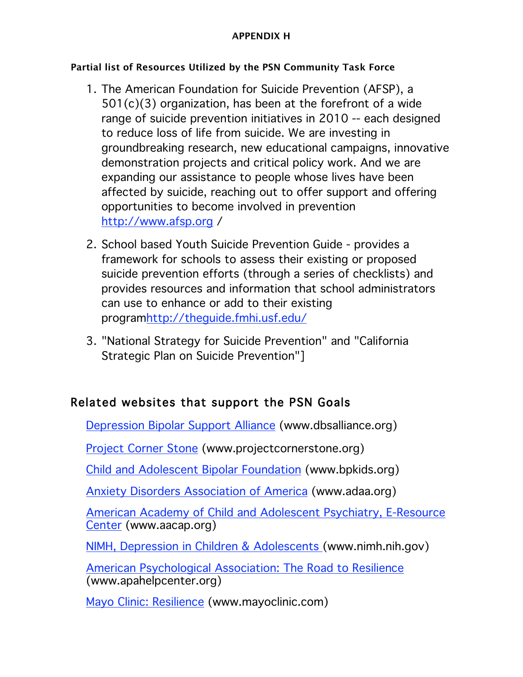#### **APPENDIX H**

### **Partial list of Resources Utilized by the PSN Community Task Force**

- 1. The American Foundation for Suicide Prevention (AFSP), a 501(c)(3) organization, has been at the forefront of a wide range of suicide prevention initiatives in 2010 -- each designed to reduce loss of life from suicide. We are investing in groundbreaking research, new educational campaigns, innovative demonstration projects and critical policy work. And we are expanding our assistance to people whose lives have been affected by suicide, reaching out to offer support and offering opportunities to become involved in prevention http://www.afsp.org /
- 2. School based Youth Suicide Prevention Guide provides a framework for schools to assess their existing or proposed suicide prevention efforts (through a series of checklists) and provides resources and information that school administrators can use to enhance or add to their existing programhttp://theguide.fmhi.usf.edu/
- 3. "National Strategy for Suicide Prevention" and "California Strategic Plan on Suicide Prevention"]

# Related websites that support the PSN Goals

Depression Bipolar Support Alliance (www.dbsalliance.org)

Project Corner Stone (www.projectcornerstone.org)

Child and Adolescent Bipolar Foundation (www.bpkids.org)

Anxiety Disorders Association of America (www.adaa.org)

American Academy of Child and Adolescent Psychiatry, E-Resource Center (www.aacap.org)

NIMH, Depression in Children & Adolescents (www.nimh.nih.gov)

American Psychological Association: The Road to Resilience (www.apahelpcenter.org)

Mayo Clinic: Resilience (www.mayoclinic.com)